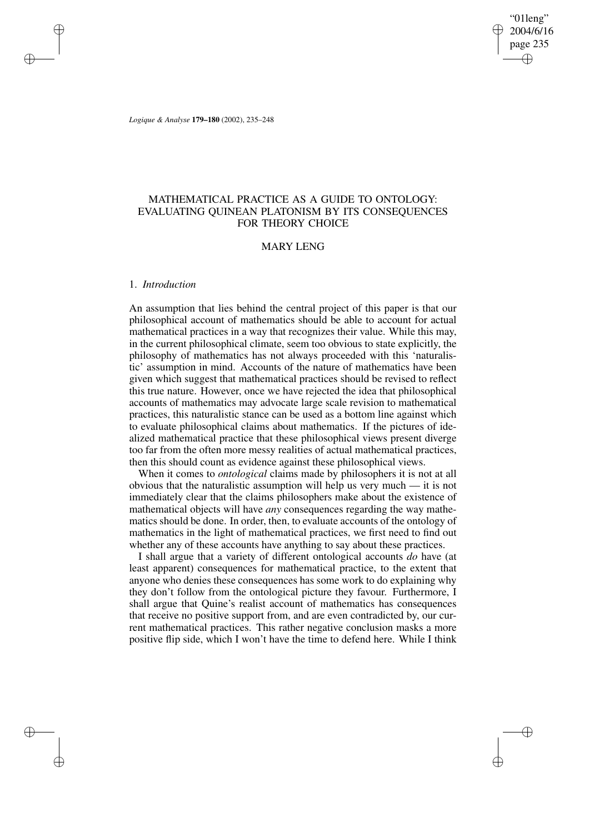"01leng" 2004/6/16 page 235 ✐ ✐

✐

✐

*Logique & Analyse* **179–180** (2002), 235–248

# MATHEMATICAL PRACTICE AS A GUIDE TO ONTOLOGY: EVALUATING QUINEAN PLATONISM BY ITS CONSEQUENCES FOR THEORY CHOICE

## MARY LENG

### 1. *Introduction*

✐

✐

✐

✐

An assumption that lies behind the central project of this paper is that our philosophical account of mathematics should be able to account for actual mathematical practices in a way that recognizes their value. While this may, in the current philosophical climate, seem too obvious to state explicitly, the philosophy of mathematics has not always proceeded with this 'naturalistic' assumption in mind. Accounts of the nature of mathematics have been given which suggest that mathematical practices should be revised to reflect this true nature. However, once we have rejected the idea that philosophical accounts of mathematics may advocate large scale revision to mathematical practices, this naturalistic stance can be used as a bottom line against which to evaluate philosophical claims about mathematics. If the pictures of idealized mathematical practice that these philosophical views present diverge too far from the often more messy realities of actual mathematical practices, then this should count as evidence against these philosophical views.

When it comes to *ontological* claims made by philosophers it is not at all obvious that the naturalistic assumption will help us very much — it is not immediately clear that the claims philosophers make about the existence of mathematical objects will have *any* consequences regarding the way mathematics should be done. In order, then, to evaluate accounts of the ontology of mathematics in the light of mathematical practices, we first need to find out whether any of these accounts have anything to say about these practices.

I shall argue that a variety of different ontological accounts *do* have (at least apparent) consequences for mathematical practice, to the extent that anyone who denies these consequences has some work to do explaining why they don't follow from the ontological picture they favour. Furthermore, I shall argue that Quine's realist account of mathematics has consequences that receive no positive support from, and are even contradicted by, our current mathematical practices. This rather negative conclusion masks a more positive flip side, which I won't have the time to defend here. While I think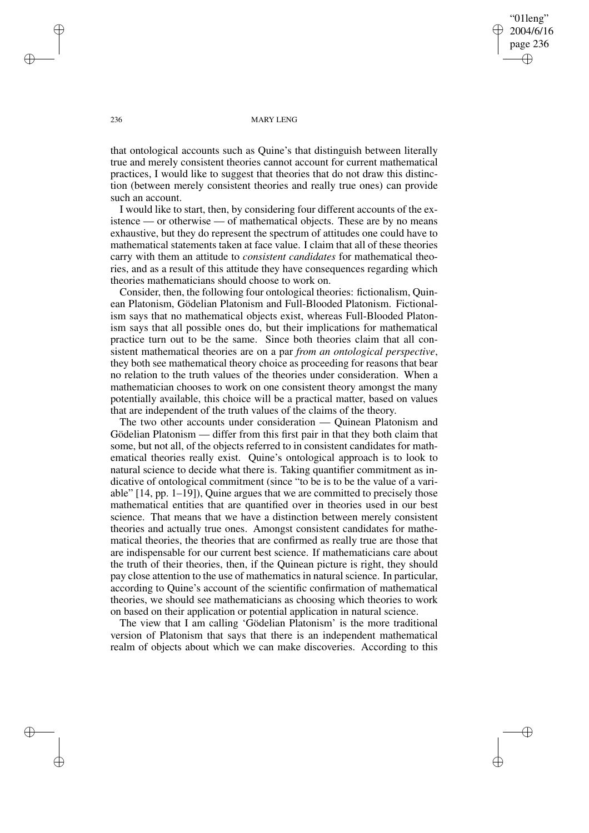"01leng" 2004/6/16 page 236 ✐ ✐

✐

✐

#### 236 MARY LENG

that ontological accounts such as Quine's that distinguish between literally true and merely consistent theories cannot account for current mathematical practices, I would like to suggest that theories that do not draw this distinction (between merely consistent theories and really true ones) can provide such an account.

I would like to start, then, by considering four different accounts of the existence — or otherwise — of mathematical objects. These are by no means exhaustive, but they do represent the spectrum of attitudes one could have to mathematical statements taken at face value. I claim that all of these theories carry with them an attitude to *consistent candidates* for mathematical theories, and as a result of this attitude they have consequences regarding which theories mathematicians should choose to work on.

Consider, then, the following four ontological theories: fictionalism, Quinean Platonism, Gödelian Platonism and Full-Blooded Platonism. Fictionalism says that no mathematical objects exist, whereas Full-Blooded Platonism says that all possible ones do, but their implications for mathematical practice turn out to be the same. Since both theories claim that all consistent mathematical theories are on a par *from an ontological perspective*, they both see mathematical theory choice as proceeding for reasons that bear no relation to the truth values of the theories under consideration. When a mathematician chooses to work on one consistent theory amongst the many potentially available, this choice will be a practical matter, based on values that are independent of the truth values of the claims of the theory.

The two other accounts under consideration — Quinean Platonism and Gödelian Platonism — differ from this first pair in that they both claim that some, but not all, of the objects referred to in consistent candidates for mathematical theories really exist. Quine's ontological approach is to look to natural science to decide what there is. Taking quantifier commitment as indicative of ontological commitment (since "to be is to be the value of a variable" [14, pp. 1–19]), Quine argues that we are committed to precisely those mathematical entities that are quantified over in theories used in our best science. That means that we have a distinction between merely consistent theories and actually true ones. Amongst consistent candidates for mathematical theories, the theories that are confirmed as really true are those that are indispensable for our current best science. If mathematicians care about the truth of their theories, then, if the Quinean picture is right, they should pay close attention to the use of mathematics in natural science. In particular, according to Quine's account of the scientific confirmation of mathematical theories, we should see mathematicians as choosing which theories to work on based on their application or potential application in natural science.

The view that I am calling 'Gödelian Platonism' is the more traditional version of Platonism that says that there is an independent mathematical realm of objects about which we can make discoveries. According to this

✐

✐

✐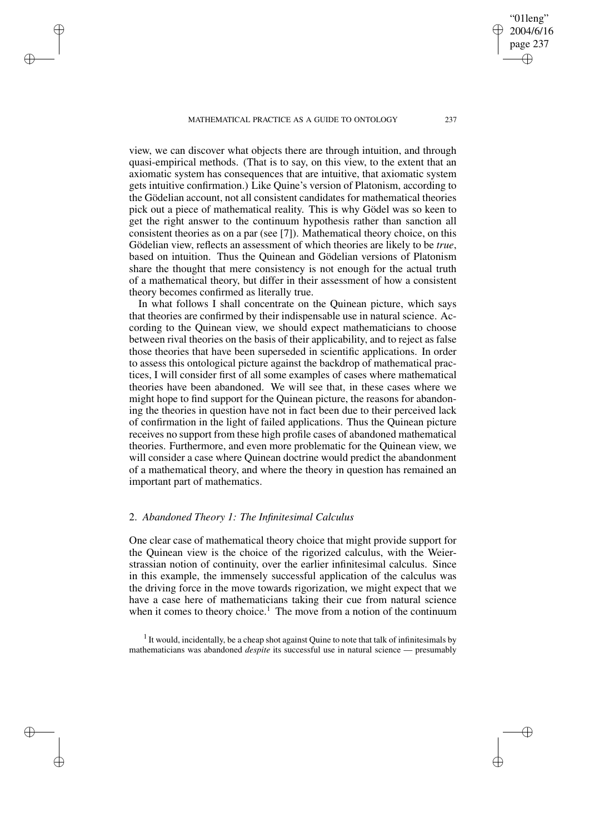MATHEMATICAL PRACTICE AS A GUIDE TO ONTOLOGY 237

✐

✐

✐

✐

view, we can discover what objects there are through intuition, and through quasi-empirical methods. (That is to say, on this view, to the extent that an axiomatic system has consequences that are intuitive, that axiomatic system gets intuitive confirmation.) Like Quine's version of Platonism, according to the Gödelian account, not all consistent candidates for mathematical theories pick out a piece of mathematical reality. This is why Gödel was so keen to get the right answer to the continuum hypothesis rather than sanction all consistent theories as on a par (see [7]). Mathematical theory choice, on this Gödelian view, reflects an assessment of which theories are likely to be *true*, based on intuition. Thus the Quinean and Gödelian versions of Platonism share the thought that mere consistency is not enough for the actual truth of a mathematical theory, but differ in their assessment of how a consistent theory becomes confirmed as literally true.

In what follows I shall concentrate on the Quinean picture, which says that theories are confirmed by their indispensable use in natural science. According to the Quinean view, we should expect mathematicians to choose between rival theories on the basis of their applicability, and to reject as false those theories that have been superseded in scientific applications. In order to assess this ontological picture against the backdrop of mathematical practices, I will consider first of all some examples of cases where mathematical theories have been abandoned. We will see that, in these cases where we might hope to find support for the Quinean picture, the reasons for abandoning the theories in question have not in fact been due to their perceived lack of confirmation in the light of failed applications. Thus the Quinean picture receives no support from these high profile cases of abandoned mathematical theories. Furthermore, and even more problematic for the Quinean view, we will consider a case where Quinean doctrine would predict the abandonment of a mathematical theory, and where the theory in question has remained an important part of mathematics.

# 2. *Abandoned Theory 1: The Infinitesimal Calculus*

One clear case of mathematical theory choice that might provide support for the Quinean view is the choice of the rigorized calculus, with the Weierstrassian notion of continuity, over the earlier infinitesimal calculus. Since in this example, the immensely successful application of the calculus was the driving force in the move towards rigorization, we might expect that we have a case here of mathematicians taking their cue from natural science when it comes to theory choice.<sup>1</sup> The move from a notion of the continuum

 $<sup>1</sup>$  It would, incidentally, be a cheap shot against Quine to note that talk of infinitesimals by</sup> mathematicians was abandoned *despite* its successful use in natural science — presumably

"01leng" 2004/6/16 page 237

✐

✐

✐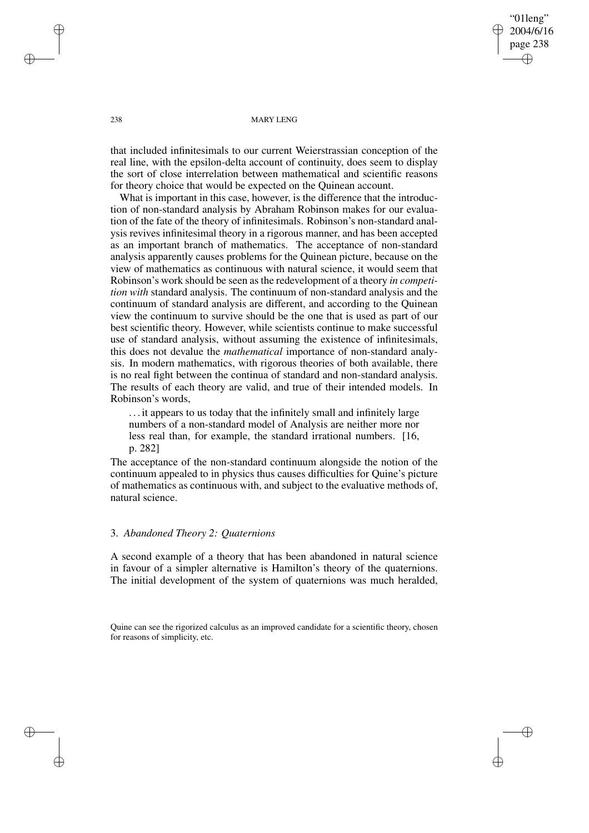"01leng" 2004/6/16 page 238 ✐ ✐

✐

✐

238 MARY LENG

that included infinitesimals to our current Weierstrassian conception of the real line, with the epsilon-delta account of continuity, does seem to display the sort of close interrelation between mathematical and scientific reasons for theory choice that would be expected on the Quinean account.

What is important in this case, however, is the difference that the introduction of non-standard analysis by Abraham Robinson makes for our evaluation of the fate of the theory of infinitesimals. Robinson's non-standard analysis revives infinitesimal theory in a rigorous manner, and has been accepted as an important branch of mathematics. The acceptance of non-standard analysis apparently causes problems for the Quinean picture, because on the view of mathematics as continuous with natural science, it would seem that Robinson's work should be seen as the redevelopment of a theory *in competition with* standard analysis. The continuum of non-standard analysis and the continuum of standard analysis are different, and according to the Quinean view the continuum to survive should be the one that is used as part of our best scientific theory. However, while scientists continue to make successful use of standard analysis, without assuming the existence of infinitesimals, this does not devalue the *mathematical* importance of non-standard analysis. In modern mathematics, with rigorous theories of both available, there is no real fight between the continua of standard and non-standard analysis. The results of each theory are valid, and true of their intended models. In Robinson's words,

. . . it appears to us today that the infinitely small and infinitely large numbers of a non-standard model of Analysis are neither more nor less real than, for example, the standard irrational numbers. [16, p. 282]

The acceptance of the non-standard continuum alongside the notion of the continuum appealed to in physics thus causes difficulties for Quine's picture of mathematics as continuous with, and subject to the evaluative methods of, natural science.

# 3. *Abandoned Theory 2: Quaternions*

A second example of a theory that has been abandoned in natural science in favour of a simpler alternative is Hamilton's theory of the quaternions. The initial development of the system of quaternions was much heralded,

Quine can see the rigorized calculus as an improved candidate for a scientific theory, chosen for reasons of simplicity, etc.

✐

✐

✐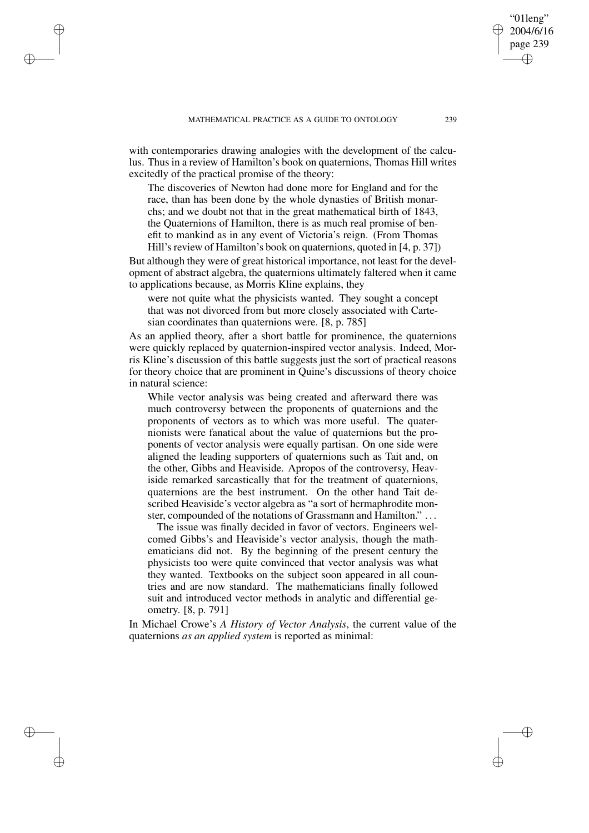✐

✐

✐

✐

with contemporaries drawing analogies with the development of the calculus. Thus in a review of Hamilton's book on quaternions, Thomas Hill writes excitedly of the practical promise of the theory:

The discoveries of Newton had done more for England and for the race, than has been done by the whole dynasties of British monarchs; and we doubt not that in the great mathematical birth of 1843, the Quaternions of Hamilton, there is as much real promise of benefit to mankind as in any event of Victoria's reign. (From Thomas Hill's review of Hamilton's book on quaternions, quoted in [4, p. 37])

But although they were of great historical importance, not least for the development of abstract algebra, the quaternions ultimately faltered when it came to applications because, as Morris Kline explains, they

were not quite what the physicists wanted. They sought a concept that was not divorced from but more closely associated with Cartesian coordinates than quaternions were. [8, p. 785]

As an applied theory, after a short battle for prominence, the quaternions were quickly replaced by quaternion-inspired vector analysis. Indeed, Morris Kline's discussion of this battle suggests just the sort of practical reasons for theory choice that are prominent in Quine's discussions of theory choice in natural science:

While vector analysis was being created and afterward there was much controversy between the proponents of quaternions and the proponents of vectors as to which was more useful. The quaternionists were fanatical about the value of quaternions but the proponents of vector analysis were equally partisan. On one side were aligned the leading supporters of quaternions such as Tait and, on the other, Gibbs and Heaviside. Apropos of the controversy, Heaviside remarked sarcastically that for the treatment of quaternions, quaternions are the best instrument. On the other hand Tait described Heaviside's vector algebra as "a sort of hermaphrodite monster, compounded of the notations of Grassmann and Hamilton." . . .

The issue was finally decided in favor of vectors. Engineers welcomed Gibbs's and Heaviside's vector analysis, though the mathematicians did not. By the beginning of the present century the physicists too were quite convinced that vector analysis was what they wanted. Textbooks on the subject soon appeared in all countries and are now standard. The mathematicians finally followed suit and introduced vector methods in analytic and differential geometry. [8, p. 791]

In Michael Crowe's *A History of Vector Analysis*, the current value of the quaternions *as an applied system* is reported as minimal:

"01leng" 2004/6/16 page 239

✐

✐

✐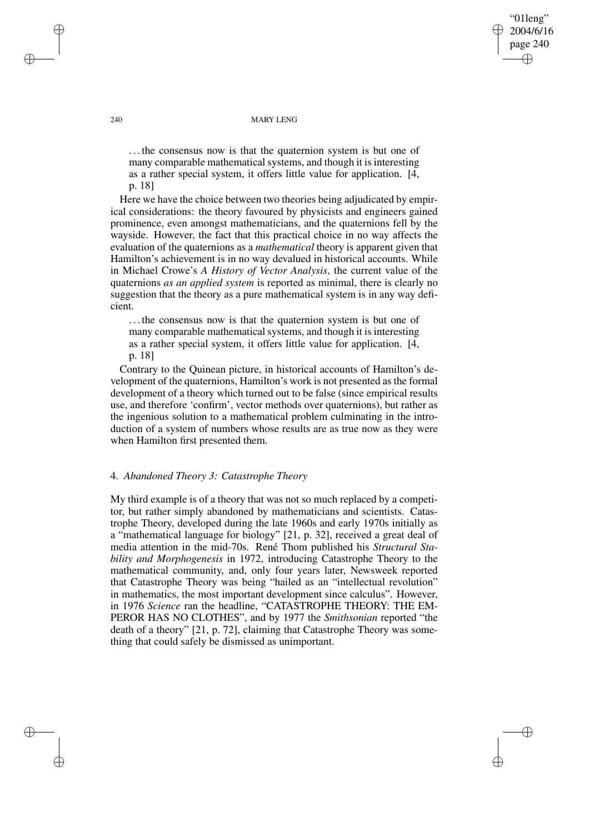"01leng" 2004/6/16 page 240 ✐ ✐

✐

✐

#### 240 MARY LENG

. . . the consensus now is that the quaternion system is but one of many comparable mathematical systems, and though it is interesting as a rather special system, it offers little value for application. [4, p. 18]

Here we have the choice between two theories being adjudicated by empirical considerations: the theory favoured by physicists and engineers gained prominence, even amongst mathematicians, and the quaternions fell by the wayside. However, the fact that this practical choice in no way affects the evaluation of the quaternions as a *mathematical* theory is apparent given that Hamilton's achievement is in no way devalued in historical accounts. While in Michael Crowe's *A History of Vector Analysis*, the current value of the quaternions *as an applied system* is reported as minimal, there is clearly no suggestion that the theory as a pure mathematical system is in any way deficient.

... the consensus now is that the quaternion system is but one of many comparable mathematical systems, and though it is interesting as a rather special system, it offers little value for application. [4, p. 18]

Contrary to the Quinean picture, in historical accounts of Hamilton's development of the quaternions, Hamilton's work is not presented as the formal development of a theory which turned out to be false (since empirical results use, and therefore 'confirm', vector methods over quaternions), but rather as the ingenious solution to a mathematical problem culminating in the introduction of a system of numbers whose results are as true now as they were when Hamilton first presented them.

# 4. *Abandoned Theory 3: Catastrophe Theory*

My third example is of a theory that was not so much replaced by a competitor, but rather simply abandoned by mathematicians and scientists. Catastrophe Theory, developed during the late 1960s and early 1970s initially as a "mathematical language for biology" [21, p. 32], received a great deal of media attention in the mid-70s. René Thom published his *Structural Stability and Morphogenesis* in 1972, introducing Catastrophe Theory to the mathematical community, and, only four years later, Newsweek reported that Catastrophe Theory was being "hailed as an "intellectual revolution" in mathematics, the most important development since calculus". However, in 1976 *Science* ran the headline, "CATASTROPHE THEORY: THE EM-PEROR HAS NO CLOTHES", and by 1977 the *Smithsonian* reported "the death of a theory" [21, p. 72], claiming that Catastrophe Theory was something that could safely be dismissed as unimportant.

✐

✐

✐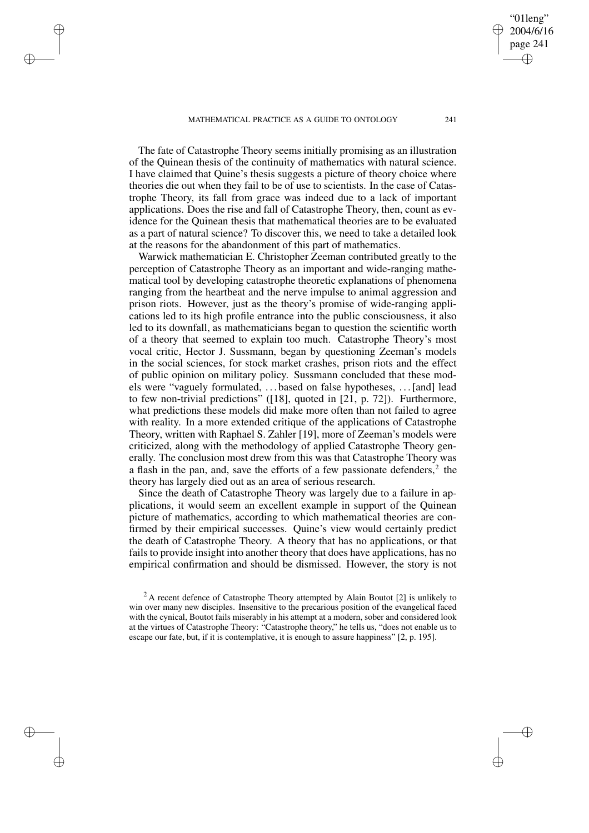#### MATHEMATICAL PRACTICE AS A GUIDE TO ONTOLOGY 241

✐

✐

✐

✐

The fate of Catastrophe Theory seems initially promising as an illustration of the Quinean thesis of the continuity of mathematics with natural science. I have claimed that Quine's thesis suggests a picture of theory choice where theories die out when they fail to be of use to scientists. In the case of Catastrophe Theory, its fall from grace was indeed due to a lack of important applications. Does the rise and fall of Catastrophe Theory, then, count as evidence for the Quinean thesis that mathematical theories are to be evaluated as a part of natural science? To discover this, we need to take a detailed look at the reasons for the abandonment of this part of mathematics.

Warwick mathematician E. Christopher Zeeman contributed greatly to the perception of Catastrophe Theory as an important and wide-ranging mathematical tool by developing catastrophe theoretic explanations of phenomena ranging from the heartbeat and the nerve impulse to animal aggression and prison riots. However, just as the theory's promise of wide-ranging applications led to its high profile entrance into the public consciousness, it also led to its downfall, as mathematicians began to question the scientific worth of a theory that seemed to explain too much. Catastrophe Theory's most vocal critic, Hector J. Sussmann, began by questioning Zeeman's models in the social sciences, for stock market crashes, prison riots and the effect of public opinion on military policy. Sussmann concluded that these models were "vaguely formulated, . . . based on false hypotheses, . . .[and] lead to few non-trivial predictions" ([18], quoted in [21, p. 72]). Furthermore, what predictions these models did make more often than not failed to agree with reality. In a more extended critique of the applications of Catastrophe Theory, written with Raphael S. Zahler [19], more of Zeeman's models were criticized, along with the methodology of applied Catastrophe Theory generally. The conclusion most drew from this was that Catastrophe Theory was a flash in the pan, and, save the efforts of a few passionate defenders, $2$  the theory has largely died out as an area of serious research.

Since the death of Catastrophe Theory was largely due to a failure in applications, it would seem an excellent example in support of the Quinean picture of mathematics, according to which mathematical theories are confirmed by their empirical successes. Quine's view would certainly predict the death of Catastrophe Theory. A theory that has no applications, or that fails to provide insight into another theory that does have applications, has no empirical confirmation and should be dismissed. However, the story is not

"01leng" 2004/6/16 page 241

✐

✐

✐

 $^{2}$ A recent defence of Catastrophe Theory attempted by Alain Boutot [2] is unlikely to win over many new disciples. Insensitive to the precarious position of the evangelical faced with the cynical, Boutot fails miserably in his attempt at a modern, sober and considered look at the virtues of Catastrophe Theory: "Catastrophe theory," he tells us, "does not enable us to escape our fate, but, if it is contemplative, it is enough to assure happiness" [2, p. 195].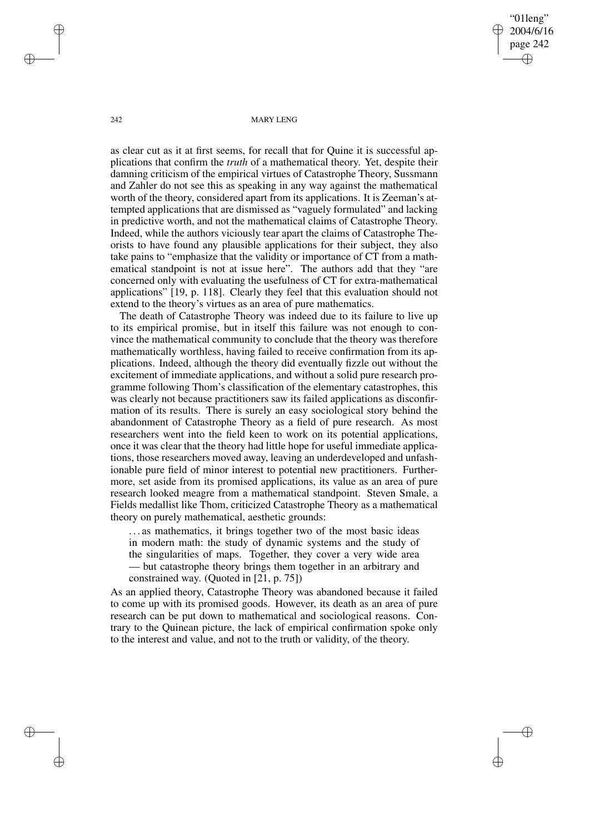"01leng" 2004/6/16 page 242 ✐ ✐

✐

✐

#### 242 MARY LENG

as clear cut as it at first seems, for recall that for Quine it is successful applications that confirm the *truth* of a mathematical theory. Yet, despite their damning criticism of the empirical virtues of Catastrophe Theory, Sussmann and Zahler do not see this as speaking in any way against the mathematical worth of the theory, considered apart from its applications. It is Zeeman's attempted applications that are dismissed as "vaguely formulated" and lacking in predictive worth, and not the mathematical claims of Catastrophe Theory. Indeed, while the authors viciously tear apart the claims of Catastrophe Theorists to have found any plausible applications for their subject, they also take pains to "emphasize that the validity or importance of CT from a mathematical standpoint is not at issue here". The authors add that they "are concerned only with evaluating the usefulness of CT for extra-mathematical applications" [19, p. 118]. Clearly they feel that this evaluation should not extend to the theory's virtues as an area of pure mathematics.

The death of Catastrophe Theory was indeed due to its failure to live up to its empirical promise, but in itself this failure was not enough to convince the mathematical community to conclude that the theory was therefore mathematically worthless, having failed to receive confirmation from its applications. Indeed, although the theory did eventually fizzle out without the excitement of immediate applications, and without a solid pure research programme following Thom's classification of the elementary catastrophes, this was clearly not because practitioners saw its failed applications as disconfirmation of its results. There is surely an easy sociological story behind the abandonment of Catastrophe Theory as a field of pure research. As most researchers went into the field keen to work on its potential applications, once it was clear that the theory had little hope for useful immediate applications, those researchers moved away, leaving an underdeveloped and unfashionable pure field of minor interest to potential new practitioners. Furthermore, set aside from its promised applications, its value as an area of pure research looked meagre from a mathematical standpoint. Steven Smale, a Fields medallist like Thom, criticized Catastrophe Theory as a mathematical theory on purely mathematical, aesthetic grounds:

. . . as mathematics, it brings together two of the most basic ideas in modern math: the study of dynamic systems and the study of the singularities of maps. Together, they cover a very wide area — but catastrophe theory brings them together in an arbitrary and constrained way. (Quoted in [21, p. 75])

As an applied theory, Catastrophe Theory was abandoned because it failed to come up with its promised goods. However, its death as an area of pure research can be put down to mathematical and sociological reasons. Contrary to the Quinean picture, the lack of empirical confirmation spoke only to the interest and value, and not to the truth or validity, of the theory.

✐

✐

✐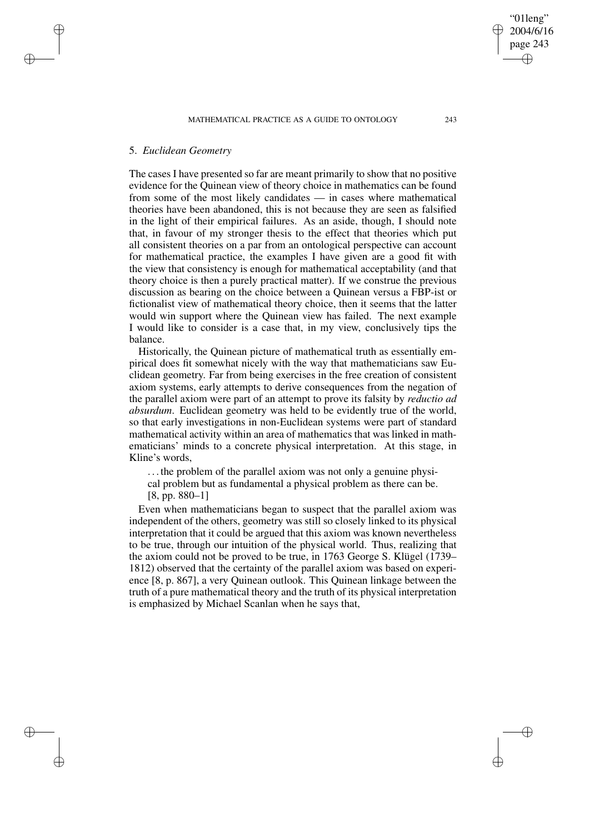### MATHEMATICAL PRACTICE AS A GUIDE TO ONTOLOGY 243

# 5. *Euclidean Geometry*

✐

✐

✐

✐

The cases I have presented so far are meant primarily to show that no positive evidence for the Quinean view of theory choice in mathematics can be found from some of the most likely candidates — in cases where mathematical theories have been abandoned, this is not because they are seen as falsified in the light of their empirical failures. As an aside, though, I should note that, in favour of my stronger thesis to the effect that theories which put all consistent theories on a par from an ontological perspective can account for mathematical practice, the examples I have given are a good fit with the view that consistency is enough for mathematical acceptability (and that theory choice is then a purely practical matter). If we construe the previous discussion as bearing on the choice between a Quinean versus a FBP-ist or fictionalist view of mathematical theory choice, then it seems that the latter would win support where the Quinean view has failed. The next example I would like to consider is a case that, in my view, conclusively tips the balance.

Historically, the Quinean picture of mathematical truth as essentially empirical does fit somewhat nicely with the way that mathematicians saw Euclidean geometry. Far from being exercises in the free creation of consistent axiom systems, early attempts to derive consequences from the negation of the parallel axiom were part of an attempt to prove its falsity by *reductio ad absurdum*. Euclidean geometry was held to be evidently true of the world, so that early investigations in non-Euclidean systems were part of standard mathematical activity within an area of mathematics that was linked in mathematicians' minds to a concrete physical interpretation. At this stage, in Kline's words,

. . . the problem of the parallel axiom was not only a genuine physi-

cal problem but as fundamental a physical problem as there can be.

[8, pp. 880–1]

Even when mathematicians began to suspect that the parallel axiom was independent of the others, geometry was still so closely linked to its physical interpretation that it could be argued that this axiom was known nevertheless to be true, through our intuition of the physical world. Thus, realizing that the axiom could not be proved to be true, in 1763 George S. Klügel (1739– 1812) observed that the certainty of the parallel axiom was based on experience [8, p. 867], a very Quinean outlook. This Quinean linkage between the truth of a pure mathematical theory and the truth of its physical interpretation is emphasized by Michael Scanlan when he says that,

"01leng" 2004/6/16 page 243

✐

✐

✐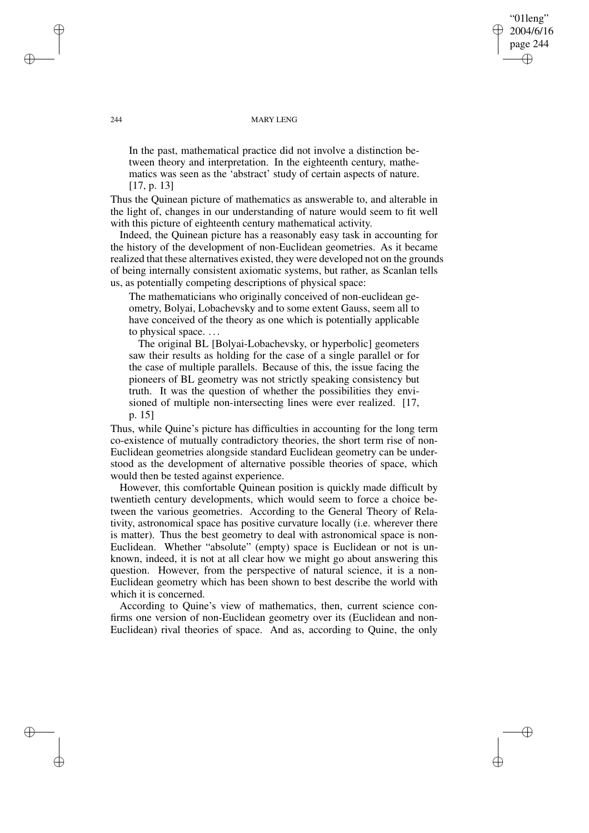"01leng" 2004/6/16 page 244 ✐ ✐

✐

✐

#### 244 MARY LENG

In the past, mathematical practice did not involve a distinction between theory and interpretation. In the eighteenth century, mathematics was seen as the 'abstract' study of certain aspects of nature. [17, p. 13]

Thus the Quinean picture of mathematics as answerable to, and alterable in the light of, changes in our understanding of nature would seem to fit well with this picture of eighteenth century mathematical activity.

Indeed, the Quinean picture has a reasonably easy task in accounting for the history of the development of non-Euclidean geometries. As it became realized that these alternatives existed, they were developed not on the grounds of being internally consistent axiomatic systems, but rather, as Scanlan tells us, as potentially competing descriptions of physical space:

The mathematicians who originally conceived of non-euclidean geometry, Bolyai, Lobachevsky and to some extent Gauss, seem all to have conceived of the theory as one which is potentially applicable to physical space. . . .

The original BL [Bolyai-Lobachevsky, or hyperbolic] geometers saw their results as holding for the case of a single parallel or for the case of multiple parallels. Because of this, the issue facing the pioneers of BL geometry was not strictly speaking consistency but truth. It was the question of whether the possibilities they envisioned of multiple non-intersecting lines were ever realized. [17, p. 15]

Thus, while Quine's picture has difficulties in accounting for the long term co-existence of mutually contradictory theories, the short term rise of non-Euclidean geometries alongside standard Euclidean geometry can be understood as the development of alternative possible theories of space, which would then be tested against experience.

However, this comfortable Quinean position is quickly made difficult by twentieth century developments, which would seem to force a choice between the various geometries. According to the General Theory of Relativity, astronomical space has positive curvature locally (i.e. wherever there is matter). Thus the best geometry to deal with astronomical space is non-Euclidean. Whether "absolute" (empty) space is Euclidean or not is unknown, indeed, it is not at all clear how we might go about answering this question. However, from the perspective of natural science, it is a non-Euclidean geometry which has been shown to best describe the world with which it is concerned.

According to Quine's view of mathematics, then, current science confirms one version of non-Euclidean geometry over its (Euclidean and non-Euclidean) rival theories of space. And as, according to Quine, the only

✐

✐

✐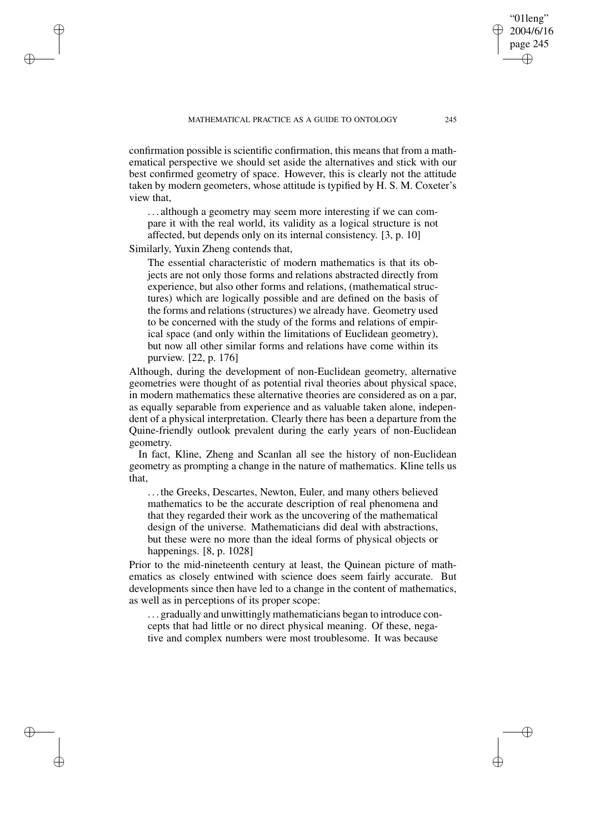confirmation possible is scientific confirmation, this means that from a mathematical perspective we should set aside the alternatives and stick with our best confirmed geometry of space. However, this is clearly not the attitude taken by modern geometers, whose attitude is typified by H. S. M. Coxeter's view that,

. . . although a geometry may seem more interesting if we can compare it with the real world, its validity as a logical structure is not affected, but depends only on its internal consistency. [3, p. 10]

Similarly, Yuxin Zheng contends that,

✐

✐

✐

✐

The essential characteristic of modern mathematics is that its objects are not only those forms and relations abstracted directly from experience, but also other forms and relations, (mathematical structures) which are logically possible and are defined on the basis of the forms and relations (structures) we already have. Geometry used to be concerned with the study of the forms and relations of empirical space (and only within the limitations of Euclidean geometry), but now all other similar forms and relations have come within its purview. [22, p. 176]

Although, during the development of non-Euclidean geometry, alternative geometries were thought of as potential rival theories about physical space, in modern mathematics these alternative theories are considered as on a par, as equally separable from experience and as valuable taken alone, independent of a physical interpretation. Clearly there has been a departure from the Quine-friendly outlook prevalent during the early years of non-Euclidean geometry.

In fact, Kline, Zheng and Scanlan all see the history of non-Euclidean geometry as prompting a change in the nature of mathematics. Kline tells us that,

. . . the Greeks, Descartes, Newton, Euler, and many others believed mathematics to be the accurate description of real phenomena and that they regarded their work as the uncovering of the mathematical design of the universe. Mathematicians did deal with abstractions, but these were no more than the ideal forms of physical objects or happenings. [8, p. 1028]

Prior to the mid-nineteenth century at least, the Quinean picture of mathematics as closely entwined with science does seem fairly accurate. But developments since then have led to a change in the content of mathematics, as well as in perceptions of its proper scope:

. . . gradually and unwittingly mathematicians began to introduce concepts that had little or no direct physical meaning. Of these, negative and complex numbers were most troublesome. It was because

"01leng" 2004/6/16 page 245

✐

✐

✐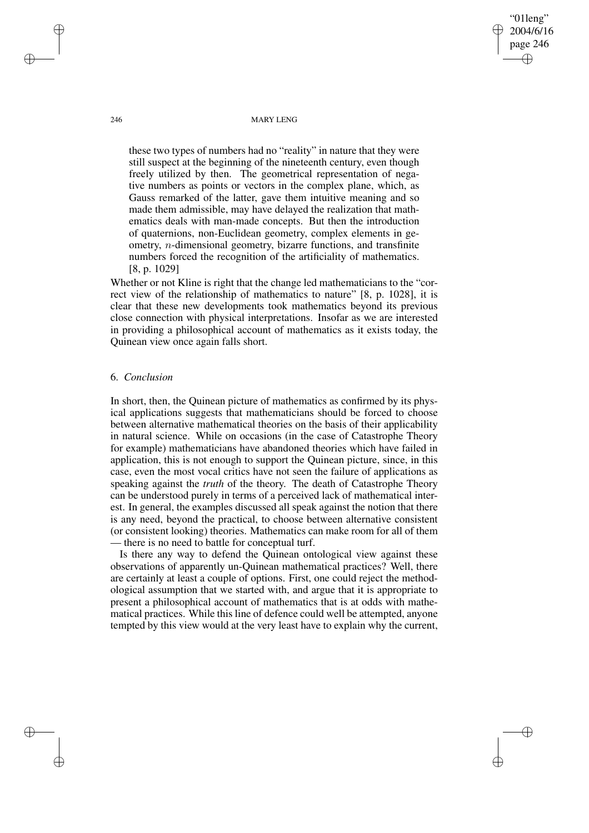246 MARY LENG

"01leng" 2004/6/16 page 246

✐

✐

✐

✐

these two types of numbers had no "reality" in nature that they were still suspect at the beginning of the nineteenth century, even though freely utilized by then. The geometrical representation of negative numbers as points or vectors in the complex plane, which, as Gauss remarked of the latter, gave them intuitive meaning and so made them admissible, may have delayed the realization that mathematics deals with man-made concepts. But then the introduction of quaternions, non-Euclidean geometry, complex elements in geometry, n-dimensional geometry, bizarre functions, and transfinite numbers forced the recognition of the artificiality of mathematics. [8, p. 1029]

Whether or not Kline is right that the change led mathematicians to the "correct view of the relationship of mathematics to nature" [8, p. 1028], it is clear that these new developments took mathematics beyond its previous close connection with physical interpretations. Insofar as we are interested in providing a philosophical account of mathematics as it exists today, the Quinean view once again falls short.

### 6. *Conclusion*

In short, then, the Quinean picture of mathematics as confirmed by its physical applications suggests that mathematicians should be forced to choose between alternative mathematical theories on the basis of their applicability in natural science. While on occasions (in the case of Catastrophe Theory for example) mathematicians have abandoned theories which have failed in application, this is not enough to support the Quinean picture, since, in this case, even the most vocal critics have not seen the failure of applications as speaking against the *truth* of the theory. The death of Catastrophe Theory can be understood purely in terms of a perceived lack of mathematical interest. In general, the examples discussed all speak against the notion that there is any need, beyond the practical, to choose between alternative consistent (or consistent looking) theories. Mathematics can make room for all of them — there is no need to battle for conceptual turf.

Is there any way to defend the Quinean ontological view against these observations of apparently un-Quinean mathematical practices? Well, there are certainly at least a couple of options. First, one could reject the methodological assumption that we started with, and argue that it is appropriate to present a philosophical account of mathematics that is at odds with mathematical practices. While this line of defence could well be attempted, anyone tempted by this view would at the very least have to explain why the current,

✐

✐

✐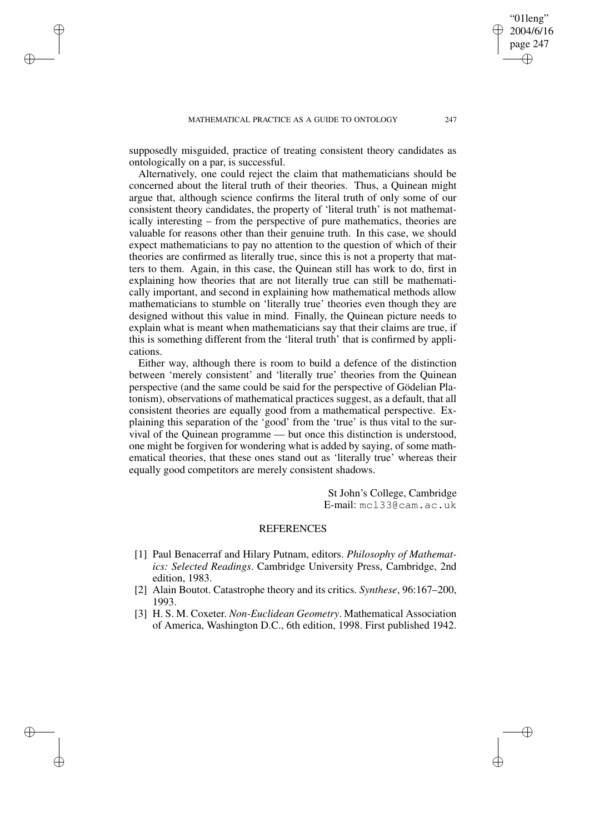✐

✐

✐

✐

supposedly misguided, practice of treating consistent theory candidates as ontologically on a par, is successful.

Alternatively, one could reject the claim that mathematicians should be concerned about the literal truth of their theories. Thus, a Quinean might argue that, although science confirms the literal truth of only some of our consistent theory candidates, the property of 'literal truth' is not mathematically interesting – from the perspective of pure mathematics, theories are valuable for reasons other than their genuine truth. In this case, we should expect mathematicians to pay no attention to the question of which of their theories are confirmed as literally true, since this is not a property that matters to them. Again, in this case, the Quinean still has work to do, first in explaining how theories that are not literally true can still be mathematically important, and second in explaining how mathematical methods allow mathematicians to stumble on 'literally true' theories even though they are designed without this value in mind. Finally, the Quinean picture needs to explain what is meant when mathematicians say that their claims are true, if this is something different from the 'literal truth' that is confirmed by applications.

Either way, although there is room to build a defence of the distinction between 'merely consistent' and 'literally true' theories from the Quinean perspective (and the same could be said for the perspective of Gödelian Platonism), observations of mathematical practices suggest, as a default, that all consistent theories are equally good from a mathematical perspective. Explaining this separation of the 'good' from the 'true' is thus vital to the survival of the Quinean programme — but once this distinction is understood, one might be forgiven for wondering what is added by saying, of some mathematical theories, that these ones stand out as 'literally true' whereas their equally good competitors are merely consistent shadows.

> St John's College, Cambridge E-mail: mcl33@cam.ac.uk

### REFERENCES

- [1] Paul Benacerraf and Hilary Putnam, editors. *Philosophy of Mathematics: Selected Readings*. Cambridge University Press, Cambridge, 2nd edition, 1983.
- [2] Alain Boutot. Catastrophe theory and its critics. *Synthese*, 96:167–200, 1993.
- [3] H. S. M. Coxeter. *Non-Euclidean Geometry*. Mathematical Association of America, Washington D.C., 6th edition, 1998. First published 1942.

"01leng" 2004/6/16 page 247

✐

✐

✐